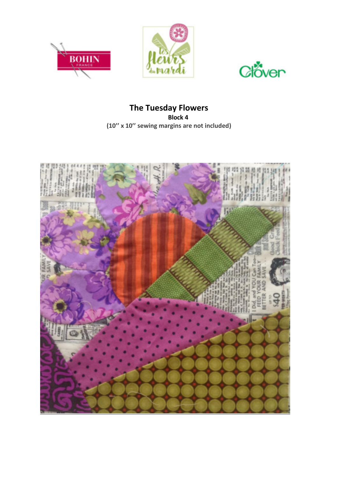





## **The Tuesday Flowers Block 4 (10'' x 10'' sewing margins are not included)**

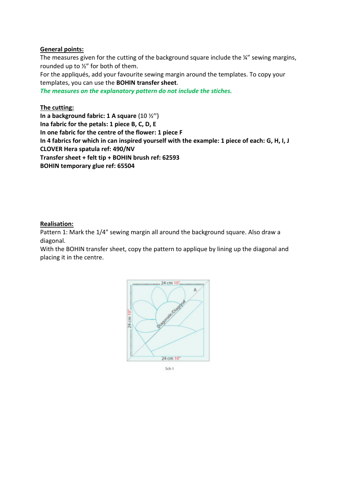## **General points:**

The measures given for the cutting of the background square include the ¼" sewing margins, rounded up to ½" for both of them.

For the appliqués, add your favourite sewing margin around the templates. To copy your templates, you can use the **BOHIN transfer sheet**.

*The measures on the explanatory pattern do not include the stiches.* 

## **The cutting:**

**In a background fabric: 1 A square (10 ½'') Ina fabric for the petals: 1 piece B, C, D, E In one fabric for the centre of the flower: 1 piece F In 4 fabrics for which in can inspired yourself with the example: 1 piece of each: G, H, I, J CLOVER Hera spatula ref: 490/NV Transfer sheet + felt tip + BOHIN brush ref: 62593 BOHIN temporary glue ref: 65504** 

## **Realisation:**

Pattern 1: Mark the 1/4" sewing margin all around the background square. Also draw a diagonal.

With the BOHIN transfer sheet, copy the pattern to applique by lining up the diagonal and placing it in the centre.



Sch 1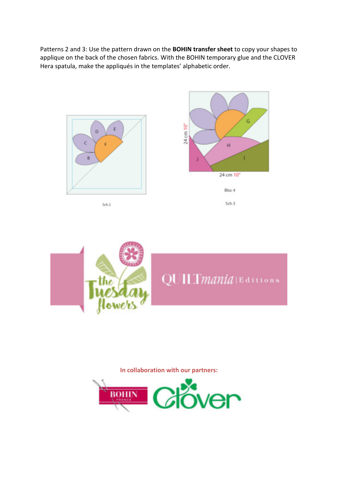Patterns 2 and 3: Use the pattern drawn on the **BOHIN transfer sheet** to copy your shapes to applique on the back of the chosen fabrics. With the BOHIN temporary glue and the CLOVER Hera spatula, make the appliqués in the templates' alphabetic order.



QUILTmania | Editions

**In collaboration with our partners:** 

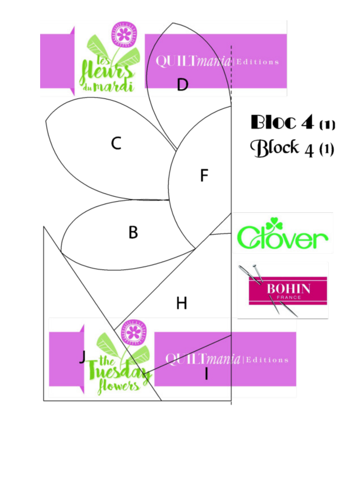